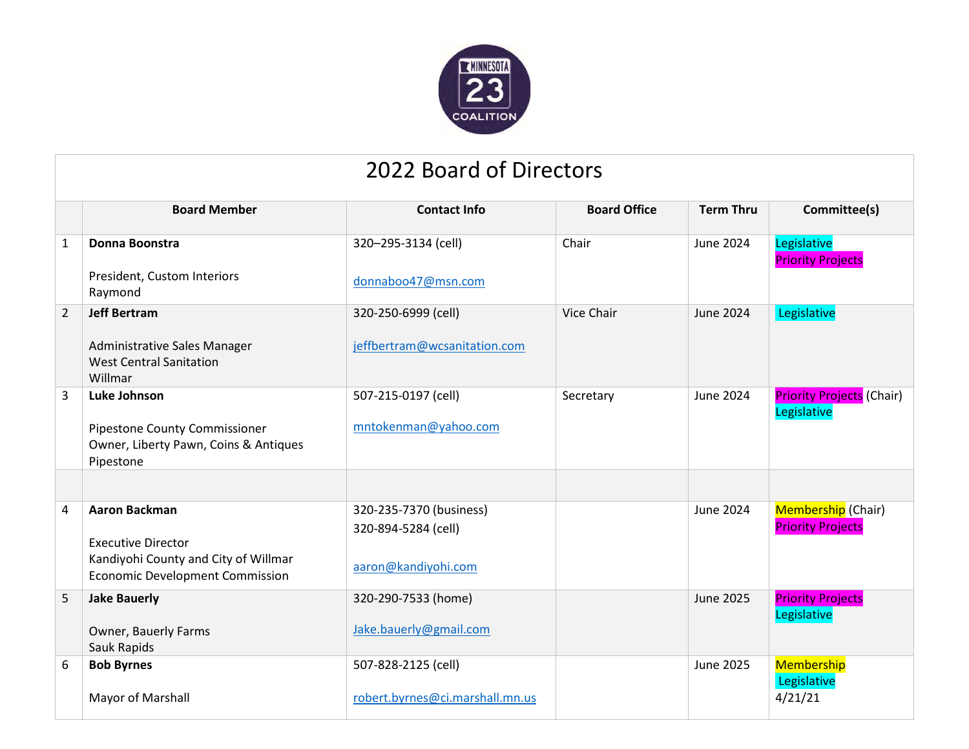

## 2022 Board of Directors

|                | <b>Board Member</b>                                                            | <b>Contact Info</b>             | <b>Board Office</b> | <b>Term Thru</b> | Committee(s)                                    |  |  |  |  |  |
|----------------|--------------------------------------------------------------------------------|---------------------------------|---------------------|------------------|-------------------------------------------------|--|--|--|--|--|
| $\mathbf{1}$   | Donna Boonstra                                                                 | 320-295-3134 (cell)             | Chair               | June 2024        | Legislative<br><b>Priority Projects</b>         |  |  |  |  |  |
|                | President, Custom Interiors<br>Raymond                                         | donnaboo47@msn.com              |                     |                  |                                                 |  |  |  |  |  |
| $\overline{2}$ | <b>Jeff Bertram</b>                                                            | 320-250-6999 (cell)             | <b>Vice Chair</b>   | June 2024        | Legislative                                     |  |  |  |  |  |
|                | Administrative Sales Manager<br><b>West Central Sanitation</b><br>Willmar      | jeffbertram@wcsanitation.com    |                     |                  |                                                 |  |  |  |  |  |
| $\overline{3}$ | <b>Luke Johnson</b>                                                            | 507-215-0197 (cell)             | Secretary           | <b>June 2024</b> | <b>Priority Projects (Chair)</b><br>Legislative |  |  |  |  |  |
|                | Pipestone County Commissioner                                                  | mntokenman@yahoo.com            |                     |                  |                                                 |  |  |  |  |  |
|                | Owner, Liberty Pawn, Coins & Antiques                                          |                                 |                     |                  |                                                 |  |  |  |  |  |
|                | Pipestone                                                                      |                                 |                     |                  |                                                 |  |  |  |  |  |
|                |                                                                                |                                 |                     |                  |                                                 |  |  |  |  |  |
| 4              | <b>Aaron Backman</b>                                                           | 320-235-7370 (business)         |                     | <b>June 2024</b> | Membership (Chair)                              |  |  |  |  |  |
|                |                                                                                | 320-894-5284 (cell)             |                     |                  | <b>Priority Projects</b>                        |  |  |  |  |  |
|                | <b>Executive Director</b>                                                      |                                 |                     |                  |                                                 |  |  |  |  |  |
|                | Kandiyohi County and City of Willmar<br><b>Economic Development Commission</b> | aaron@kandiyohi.com             |                     |                  |                                                 |  |  |  |  |  |
|                |                                                                                |                                 |                     |                  |                                                 |  |  |  |  |  |
| 5              | <b>Jake Bauerly</b>                                                            | 320-290-7533 (home)             |                     | <b>June 2025</b> | <b>Priority Projects</b><br>Legislative         |  |  |  |  |  |
|                | Owner, Bauerly Farms                                                           | Jake.bauerly@gmail.com          |                     |                  |                                                 |  |  |  |  |  |
|                | Sauk Rapids                                                                    |                                 |                     |                  |                                                 |  |  |  |  |  |
| 6              | <b>Bob Byrnes</b>                                                              | 507-828-2125 (cell)             |                     | June 2025        | Membership                                      |  |  |  |  |  |
|                |                                                                                |                                 |                     |                  | Legislative                                     |  |  |  |  |  |
|                | Mayor of Marshall                                                              | robert.byrnes@ci.marshall.mn.us |                     |                  | 4/21/21                                         |  |  |  |  |  |